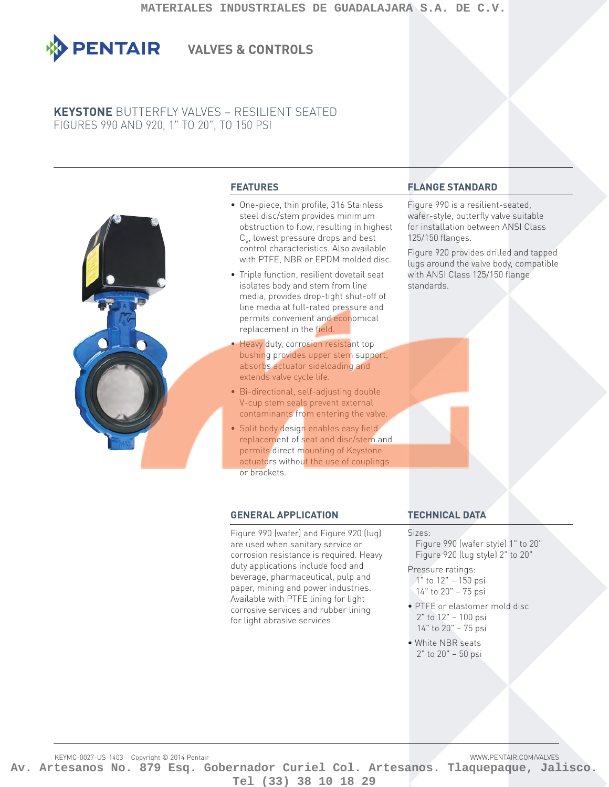

# **VALVES & CONTROLS**

# **KEYSTONE** BUTTERFLY VALVES – RESILIENT SEATED FIGURES 990 AND 920, 1" TO 20", TO 150 PSI



## **FEATURES**

- One-piece, thin profile, 316 Stainless steel disc/stem provides minimum obstruction to flow, resulting in highest  $C_{\nu}$ , lowest pressure drops and best control characteristics. Also available with PTFE, NBR or EPDM molded disc.
- Triple function, resilient dovetail seat isolates body and stem from line media, provides drop-tight shut-off of line media at full-rated pressure and permits convenient and economical replacement in the field.
- Heavy duty, corrosion resistant top bushing provides upper stem support, absorbs actuator sideloading and extends valve cycle life.
- Bi-directional, self-adjusting double V-cup stem seals prevent external contaminants from entering the valve.
- Split body design enables easy field. replacement of seat and disc/stem and permits direct mounting of Keystone actuators without the use of couplings or brackets.

## **GENERAL APPLICATION**

Figure 990 (wafer) and Figure 920 (lug) are used when sanitary service or corrosion resistance is required. Heavy duty applications include food and beverage, pharmaceutical, pulp and paper, mining and power industries. Available with PTFE lining for light corrosive services and rubber lining for light abrasive services.

## **FLANGE STANDARD**

Figure 990 is a resilient-seated, wafer-style, butterfly valve suitable for installation between ANSI Class 125/150 flanges.

Figure 920 provides drilled and tapped lugs around the valve body, compatible with ANSI Class 125/150 flange standards.

## **TECHNICAL DATA**

#### Sizes:

Figure 990 (wafer style) 1" to 20" Figure 920 (lug style) 2" to 20"

Pressure ratings: 1" to 12" – 150 psi

- 14" to 20" 75 psi
- PTFE or elastomer mold disc 2" to 12" – 100 psi 14" to 20" – 75 psi
- White NBR seats 2" to 20" – 50 psi

KEYMC-0027-US-1403 Copyright © 2014 Pentair WWW.PENTAIR.COM/VALVES **Av. Artesanos No. 879 Esq. Gobernador Curiel Col. Artesanos. Tlaquepaque, Jalisco. Tel (33) 38 10 18 29**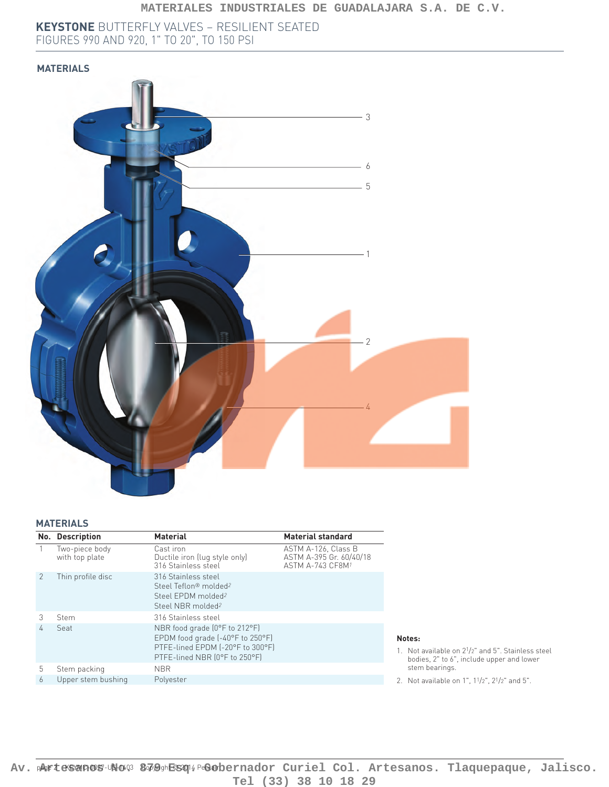**KEYSTONE** BUTTERFLY VALVES – RESILIENT SEATED FIGURES 990 AND 920, 1" TO 20", TO 150 PSI

## **MATERIALS**



#### **MATERIALS**

|               | No. Description                  | <b>Material</b>                                                   | <b>Material standard</b>                                                             |
|---------------|----------------------------------|-------------------------------------------------------------------|--------------------------------------------------------------------------------------|
|               | Two-piece body<br>with top plate | Cast iron<br>Ductile iron (lug style only)<br>316 Stainless steel | ASTM A-126. Class B<br>ASTM A-395 Gr. 60/40/18<br><b>ASTM A-743 CF8M<sup>1</sup></b> |
| $\mathcal{P}$ | Thin profile disc                | 316 Stainless steel                                               |                                                                                      |
|               |                                  | Steel Teflon® molded <sup>2</sup>                                 |                                                                                      |
|               |                                  | Steel FPDM molded <sup>2</sup>                                    |                                                                                      |
|               |                                  | Steel NBR molded <sup>2</sup>                                     |                                                                                      |
| 3             | Stem                             | 316 Stainless steel                                               |                                                                                      |
| 4             | Seat                             | NBR food grade (0°F to 212°F)<br>EPDM food grade (-40°F to 250°F) |                                                                                      |
|               |                                  | PTFE-lined EPDM [-20°F to 300°F]                                  |                                                                                      |
|               |                                  | PTFE-lined NBR (0°F to 250°F)                                     |                                                                                      |
| 5             | Stem packing                     | <b>NBR</b>                                                        |                                                                                      |
| 6             | Upper stem bushing               | Polyester                                                         |                                                                                      |

#### **Notes:**

- 1. Not available on 21/2" and 5". Stainless steel bodies, 2" to 6", include upper and lower stem bearings.
- 2. Not available on 1", 11/2", 21/2" and 5".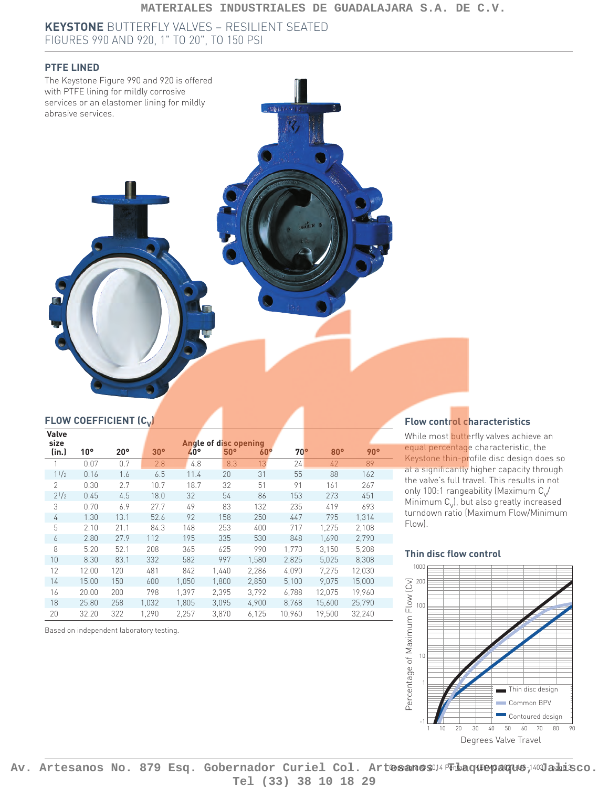#### **MATERIALES INDUSTRIALES DE GUADALAJARA S.A. DE C.V.**

**KEYSTONE** BUTTERFLY VALVES – RESILIENT SEATED FIGURES 990 AND 920, 1" TO 20", TO 150 PSI

## **PTFE LINED**



## **FLOW COEFFICIENT (C<sub>V</sub>)**

| Valve<br>size  |                 |              |                 |       | Angle of disc opening |            |              |        |        |
|----------------|-----------------|--------------|-----------------|-------|-----------------------|------------|--------------|--------|--------|
| (in.)          | 10 <sup>o</sup> | $20^{\circ}$ | 30 <sup>o</sup> | 40°   | $50^\circ$            | $60^\circ$ | $70^{\circ}$ | 80°    | 90°    |
|                | 0.07            | 0.7          | 2.8             | 4.8   | 8.3                   | 13         | 24           | 42     | 89     |
| 11/2           | 0.16            | 1.6          | 6.5             | 11.4  | 20                    | 31         | 55           | 88     | 162    |
| $\mathfrak{D}$ | 0.30            | 2.7          | 10.7            | 18.7  | 32                    | 51         | 91           | 161    | 267    |
| $2^{1/2}$      | 0.45            | 4.5          | 18.0            | 32    | 54                    | 86         | 153          | 273    | 451    |
| 3              | 0.70            | 6.9          | 27.7            | 49    | 83                    | 132        | 235          | 419    | 693    |
| 4              | 1.30            | 13.1         | 52.6            | 92    | 158                   | 250        | 447          | 795    | 1,314  |
| 5              | 2.10            | 21.1         | 84.3            | 148   | 253                   | 400        | 717          | 1,275  | 2,108  |
| 6              | 2.80            | 27.9         | 112             | 195   | 335                   | 530        | 848          | 1,690  | 2,790  |
| 8              | 5.20            | 52.1         | 208             | 365   | 625                   | 990        | 1,770        | 3,150  | 5,208  |
| 10             | 8.30            | 83.1         | 332             | 582   | 997                   | 1,580      | 2,825        | 5,025  | 8,308  |
| 12             | 12.00           | 120          | 481             | 842   | 1,440                 | 2,286      | 4,090        | 7,275  | 12,030 |
| 14             | 15.00           | 150          | 600             | 1,050 | 1,800                 | 2,850      | 5,100        | 9,075  | 15,000 |
| 16             | 20.00           | 200          | 798             | 1.397 | 2.395                 | 3,792      | 6,788        | 12.075 | 19,960 |
| 18             | 25.80           | 258          | 1.032           | 1,805 | 3,095                 | 4,900      | 8,768        | 15,600 | 25,790 |
| 20             | 32.20           | 322          | 1,290           | 2,257 | 3,870                 | 6,125      | 10,960       | 19,500 | 32,240 |

Based on independent laboratory testing.

## **Flow control characteristics**

While most butterfly valves achieve an equal percentage characteristic, the Keystone thin-profile disc design does so at a significantly higher capacity through the valve's full travel. This results in not only 100:1 rangeability (Maximum  $C_v/$ Minimum  $C_v$ , but also greatly increased turndown ratio (Maximum Flow/ Minimum Flow).

#### **Thin disc flow control**



Av. Artesanos No. 879 Esq. Gobernador Curiel Col. Artesanosu<sup>1</sup> Tiaaquepaque, 100 aidsco. **Tel (33) 38 10 18 29**